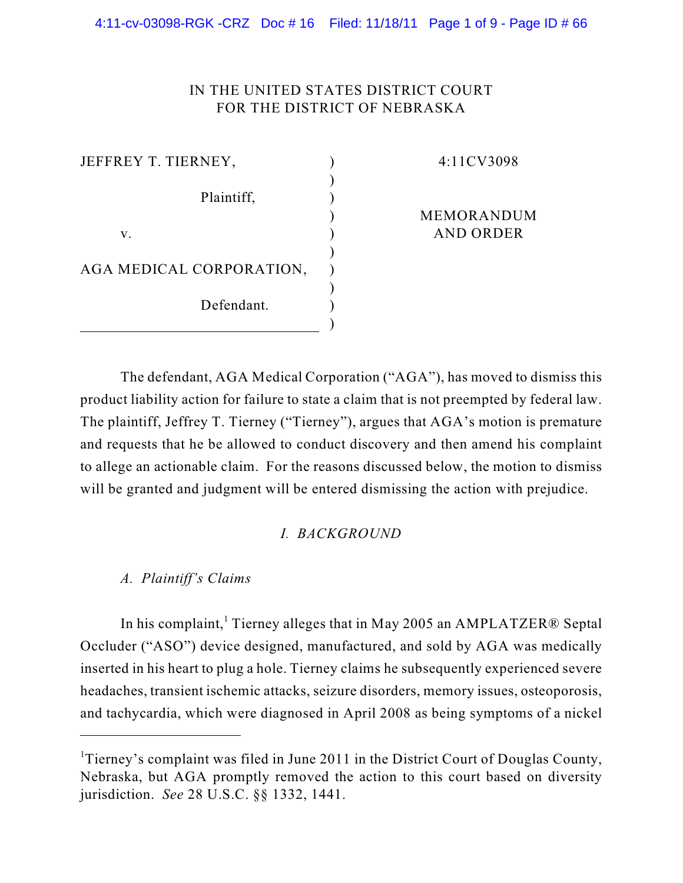## IN THE UNITED STATES DISTRICT COURT FOR THE DISTRICT OF NEBRASKA

| JEFFREY T. TIERNEY,      |  |
|--------------------------|--|
| Plaintiff,               |  |
| V.                       |  |
| AGA MEDICAL CORPORATION, |  |
| Defendant.               |  |

#### 4:11CV3098

#### MEMORANDUM AND ORDER

The defendant, AGA Medical Corporation ("AGA"), has moved to dismiss this product liability action for failure to state a claim that is not preempted by federal law. The plaintiff, Jeffrey T. Tierney ("Tierney"), argues that AGA's motion is premature and requests that he be allowed to conduct discovery and then amend his complaint to allege an actionable claim. For the reasons discussed below, the motion to dismiss will be granted and judgment will be entered dismissing the action with prejudice.

# *I. BACKGROUND*

# *A. Plaintiff's Claims*

In his complaint,<sup>1</sup> Tierney alleges that in May 2005 an AMPLATZER<sup>®</sup> Septal Occluder ("ASO") device designed, manufactured, and sold by AGA was medically inserted in his heart to plug a hole. Tierney claims he subsequently experienced severe headaches, transient ischemic attacks, seizure disorders, memory issues, osteoporosis, and tachycardia, which were diagnosed in April 2008 as being symptoms of a nickel

Tierney's complaint was filed in June 2011 in the District Court of Douglas County, Nebraska, but AGA promptly removed the action to this court based on diversity jurisdiction. *See* 28 U.S.C. §§ 1332, 1441.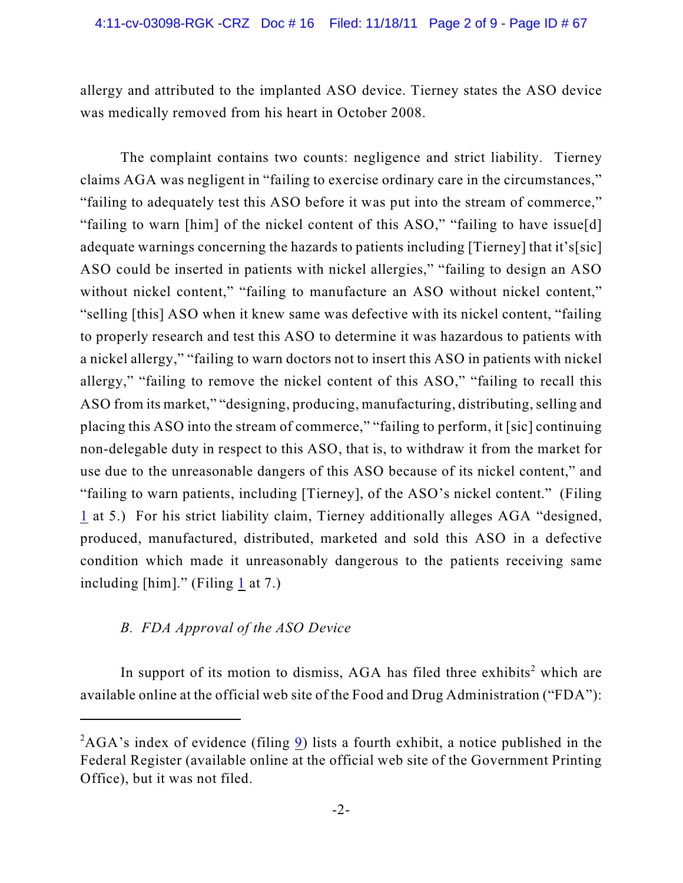allergy and attributed to the implanted ASO device. Tierney states the ASO device was medically removed from his heart in October 2008.

The complaint contains two counts: negligence and strict liability. Tierney claims AGA was negligent in "failing to exercise ordinary care in the circumstances," "failing to adequately test this ASO before it was put into the stream of commerce," "failing to warn [him] of the nickel content of this ASO," "failing to have issue[d] adequate warnings concerning the hazards to patients including [Tierney] that it's[sic] ASO could be inserted in patients with nickel allergies," "failing to design an ASO without nickel content," "failing to manufacture an ASO without nickel content," "selling [this] ASO when it knew same was defective with its nickel content, "failing to properly research and test this ASO to determine it was hazardous to patients with a nickel allergy," "failing to warn doctors not to insert this ASO in patients with nickel allergy," "failing to remove the nickel content of this ASO," "failing to recall this ASO from its market," "designing, producing, manufacturing, distributing, selling and placing this ASO into the stream of commerce," "failing to perform, it [sic] continuing non-delegable duty in respect to this ASO, that is, to withdraw it from the market for use due to the unreasonable dangers of this ASO because of its nickel content," and "failing to warn patients, including [Tierney], of the ASO's nickel content." (Filing [1](https://ecf.ned.uscourts.gov/doc1/11312302772) at 5.) For his strict liability claim, Tierney additionally alleges AGA "designed, produced, manufactured, distributed, marketed and sold this ASO in a defective condition which made it unreasonably dangerous to the patients receiving same including [him]." (Filing [1](https://ecf.ned.uscourts.gov/doc1/11312302772) at 7.)

# *B. FDA Approval of the ASO Device*

In support of its motion to dismiss, AGA has filed three exhibits<sup>2</sup> which are available online at the official web site of the Food and Drug Administration ("FDA"):

 ${}^{2}$ AGA's index of evidence (filing  $\overline{9}$  $\overline{9}$  $\overline{9}$ ) lists a fourth exhibit, a notice published in the Federal Register (available online at the official web site of the Government Printing Office), but it was not filed.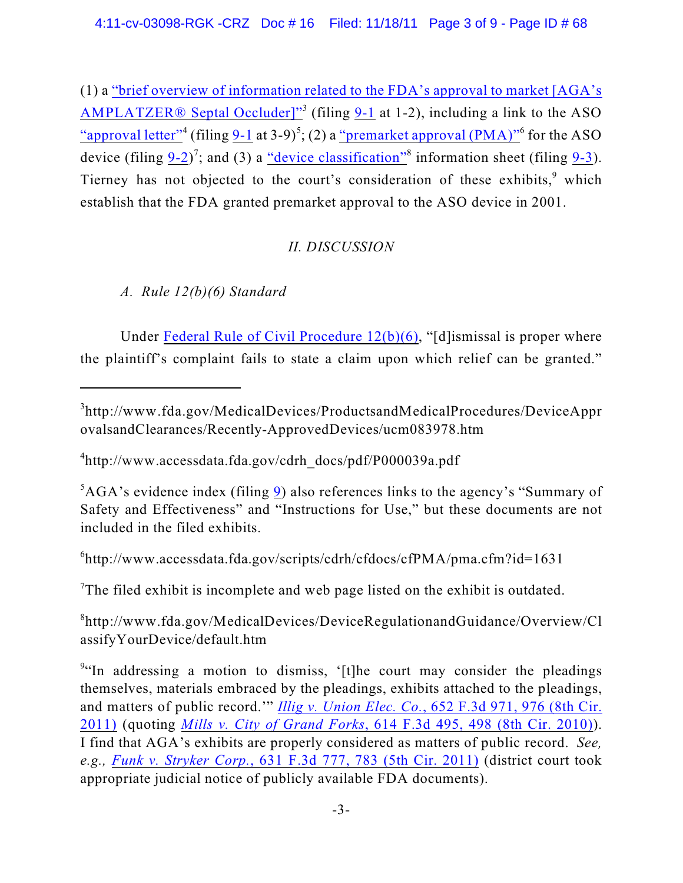(1) a "brief overview of information related to [the FDA's approval to market \[AGA's](http://www.fda.gov/MedicalDevices/ProductsandMedicalProcedures/DeviceApprovalsandClearances/Recently-ApprovedDevices/ucm083978.htm) [AMPLATZER® Septal Occluder\]"](http://www.fda.gov/MedicalDevices/ProductsandMedicalProcedures/DeviceApprovalsandClearances/Recently-ApprovedDevices/ucm083978.htm)<sup>3</sup> (filing [9-1](https://ecf.ned.uscourts.gov/doc1/11312325932) at 1-2), including a link to the ASO ["approval letter"](http://www.accessdata.fda.gov/cdrh_docs/pdf/P000039a.pdf)<sup>4</sup> (filing  $9-1$  at 3-9)<sup>5</sup>; (2) a ["premarket approval \(PMA\)"](http://www.accessdata.fda.gov/scripts/cdrh/cfdocs/cfPMA/pma.cfm?id=1631)<sup>6</sup> for the ASO device (filing  $9-2$ )<sup>7</sup>; and (3) a <u>"device classification</u>" information sheet (filing  $9-3$ ). Tierney has not objected to the court's consideration of these exhibits, $9$  which establish that the FDA granted premarket approval to the ASO device in 2001.

# *II. DISCUSSION*

*A. Rule 12(b)(6) Standard*

Under Federal Rule of Civil Procedure  $12(b)(6)$ , "[d]ismissal is proper where the plaintiff's complaint fails to state a claim upon which relief can be granted."

 $^{6}$ http://www.accessdata.fda.gov/scripts/cdrh/cfdocs/cfPMA/pma.cfm?id=1631

The filed exhibit is incomplete and web page listed on the exhibit is outdated.

 ${}^{8}$ http://www.fda.gov/MedicalDevices/DeviceRegulationandGuidance/Overview/Cl assifyYourDevice/default.htm

http://www.fda.gov/MedicalDevices/ProductsandMedicalProcedures/DeviceAppr <sup>3</sup> ovalsandClearances/Recently-ApprovedDevices/ucm083978.htm

 $^{4}$ http://www.accessdata.fda.gov/cdrh\_docs/pdf/P000039a.pdf

 ${}^{5}$ AGA's evidence index (filing  $\overline{9}$  $\overline{9}$  $\overline{9}$ ) also references links to the agency's "Summary of Safety and Effectiveness" and "Instructions for Use," but these documents are not included in the filed exhibits.

<sup>&</sup>lt;sup>9"</sup>In addressing a motion to dismiss, '[t]he court may consider the pleadings themselves, materials embraced by the pleadings, exhibits attached to the pleadings, and matters of public record.'" *Illig v. Union Elec. Co.*[, 652 F.3d 971, 976 \(8th Cir.](http://web2.westlaw.com/find/default.wl?rs=WLW11.10&rp=%2ffind%2fdefault.wl&vr=2.0&fn=_top&mt=Westlaw&cite=652+F.3d+976&sv=Split) [2011\)](http://web2.westlaw.com/find/default.wl?rs=WLW11.10&rp=%2ffind%2fdefault.wl&vr=2.0&fn=_top&mt=Westlaw&cite=652+F.3d+976&sv=Split) (quoting *Mills v. City of Grand Forks*[, 614 F.3d 495, 498 \(8th Cir. 2010\)](http://web2.westlaw.com/find/default.wl?referencepositiontype=S&serialnum=2022613753&referenceposition=498&rp=%2ffind%2fdefault.wl&sv=Split&rs=WLW11.10&db=506&tf=-1&findtype=Y&fn=_top&mt=Westlaw&vr=2.0&pbc=7861798D&tc=-1&ordoc=2025979151)). I find that AGA's exhibits are properly considered as matters of public record. *See, e.g., Funk v. Stryker Corp.*, 631 F.3d [777, 783 \(5th Cir. 2011\)](http://web2.westlaw.com/find/default.wl?rs=WLW11.10&rp=%2ffind%2fdefault.wl&vr=2.0&fn=_top&mt=Westlaw&cite=631+F.3d+777&sv=Split) (district court took appropriate judicial notice of publicly available FDA documents).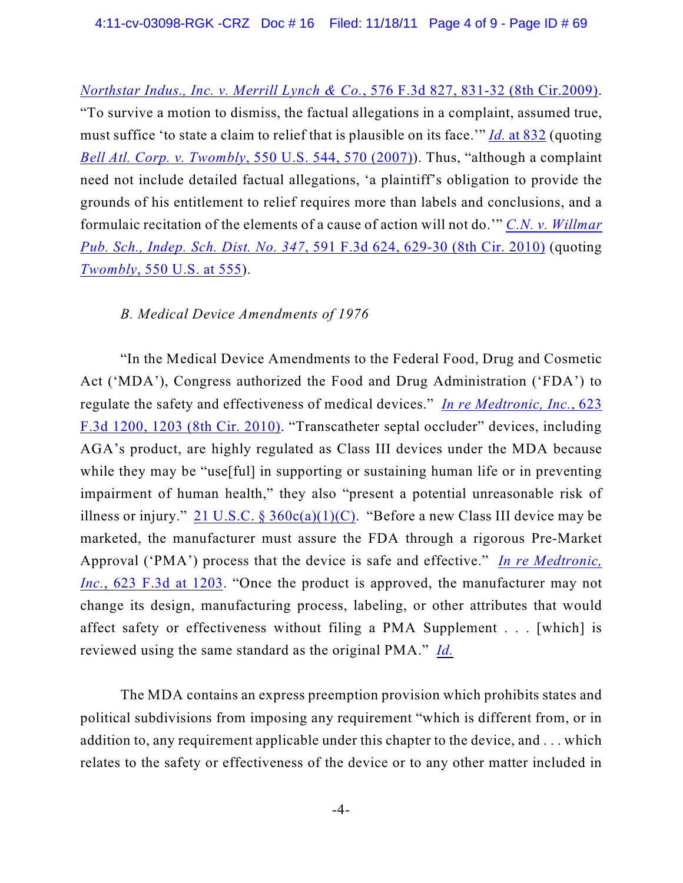*Northstar Indus., Inc. v. Merrill Lynch & Co.*[, 576 F.3d 827, 831-32 \(8th Cir.2009\)](http://web2.westlaw.com/find/default.wl?rp=%2ffind%2fdefault.wl&sv=Split&utid=3&rs=WLW11.10&cite=576f3d831&fn=_top&mt=EighthCircuit&vr=2.0&pbc=3CF4C2A4). "To survive a motion to dismiss, the factual allegations in a complaint, assumed true, must suffice 'to state a claim to relief that is plausible on its face.'" *Id.* [at 832](http://web2.westlaw.com/find/default.wl?rp=%2ffind%2fdefault.wl&sv=Split&utid=3&rs=WLW11.10&cite=576f3d832&fn=_top&mt=EighthCircuit&vr=2.0&pbc=3CF4C2A4) (quoting *Bell Atl. Corp. v. Twombly*[, 550 U.S. 544, 570 \(2007\)](https://web2.westlaw.com/find/default.wl?serialnum=2012293296&tc=-1&rp=%2ffind%2fdefault.wl&sv=Split&rs=WLW11.04&db=708&tf=-1&findtype=Y&fn=_top&mt=Westlaw&vr=2.0&pbc=E265151E&ordoc=2019611588)). Thus, "although a complaint need not include detailed factual allegations, 'a plaintiff's obligation to provide the grounds of his entitlement to relief requires more than labels and conclusions, and a formulaic recitation of the elements of a cause of action will not do.'" *[C.N. v. Willmar](http://web2.westlaw.com/find/default.wl?rp=%2ffind%2fdefault.wl&sv=Split&rs=WLW11.10&cite=591+F.3d+629&fn=_top&mt=Westlaw&vr=2.0&pbc=9F34D136) Pub. Sch., Indep. Sch. Dist. No. 347*[, 591 F.3d 624, 629-30 \(8th Cir. 2010\)](http://web2.westlaw.com/find/default.wl?rp=%2ffind%2fdefault.wl&sv=Split&rs=WLW11.10&cite=591+F.3d+629&fn=_top&mt=Westlaw&vr=2.0&pbc=9F34D136) (quoting *Twombly*[, 550 U.S. at 555](http://web2.westlaw.com/find/default.wl?serialnum=2012293296&tc=-1&rp=%2ffind%2fdefault.wl&sv=Split&rs=WLW11.10&db=708&tf=-1&findtype=Y&fn=_top&mt=Westlaw&vr=2.0&pbc=A0865817&ordoc=2021056703)).

#### *B. Medical Device Amendments of 1976*

"In the Medical Device Amendments to the Federal Food, Drug and Cosmetic Act ('MDA'), Congress authorized the Food and Drug Administration ('FDA') to regulate the safety and effectiveness of medical devices." *[In re Medtronic, Inc.](http://web2.westlaw.com/find/default.wl?rp=%2ffind%2fdefault.wl&sv=Split&rs=WLW11.10&cite=623+F.3d+1203&fn=_top&mt=Westlaw&vr=2.0&pbc=3CF4C2A4)*, 623 [F.3d 1200, 1203 \(8th Cir. 2010\)](http://web2.westlaw.com/find/default.wl?rp=%2ffind%2fdefault.wl&sv=Split&rs=WLW11.10&cite=623+F.3d+1203&fn=_top&mt=Westlaw&vr=2.0&pbc=3CF4C2A4). "Transcatheter septal occluder" devices, including AGA's product, are highly regulated as Class III devices under the MDA because while they may be "use[ful] in supporting or sustaining human life or in preventing impairment of human health," they also "present a potential unreasonable risk of illness or injury." 21 U.S.C. §  $360c(a)(1)(C)$ . "Before a new Class III device may be marketed, the manufacturer must assure the FDA through a rigorous Pre-Market Approval ('PMA') process that the device is safe and effective." *[In re Medtronic,](http://web2.westlaw.com/find/default.wl?rp=%2ffind%2fdefault.wl&sv=Split&rs=WLW11.10&cite=623+F.3d+1203&fn=_top&mt=Westlaw&vr=2.0&pbc=3CF4C2A4) Inc.*[, 623 F.3d at 1203](http://web2.westlaw.com/find/default.wl?rp=%2ffind%2fdefault.wl&sv=Split&rs=WLW11.10&cite=623+F.3d+1203&fn=_top&mt=Westlaw&vr=2.0&pbc=3CF4C2A4). "Once the product is approved, the manufacturer may not change its design, manufacturing process, labeling, or other attributes that would affect safety or effectiveness without filing a PMA Supplement . . . [which] is reviewed using the same standard as the original PMA." *[Id.](http://web2.westlaw.com/find/default.wl?rp=%2ffind%2fdefault.wl&sv=Split&rs=WLW11.10&cite=623+F.3d+1203&fn=_top&mt=Westlaw&vr=2.0&pbc=3CF4C2A4)*

The MDA contains an express preemption provision which prohibits states and political subdivisions from imposing any requirement "which is different from, or in addition to, any requirement applicable under this chapter to the device, and . . . which relates to the safety or effectiveness of the device or to any other matter included in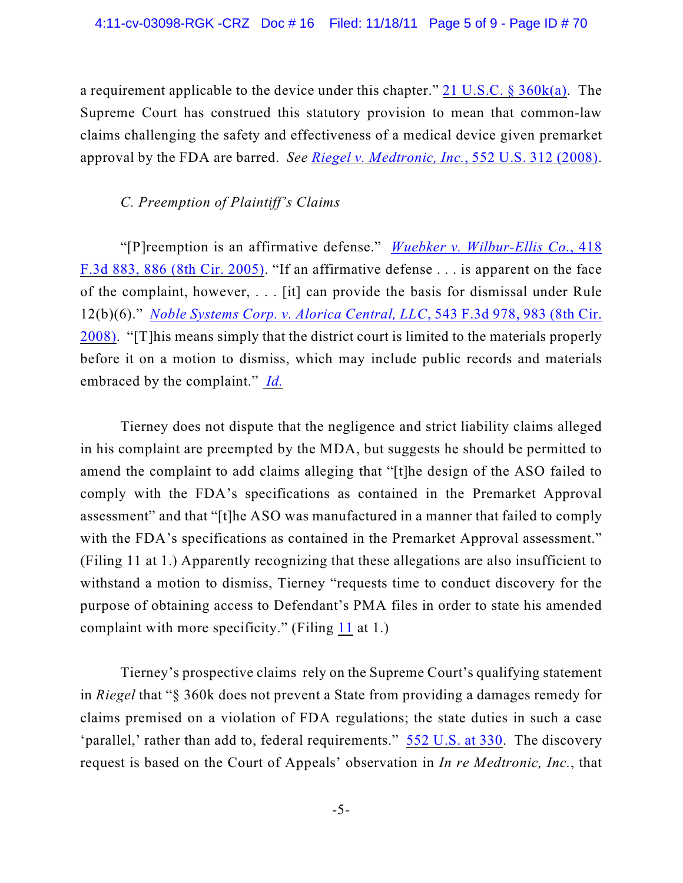a requirement applicable to the device under this chapter." [21 U.S.C. § 360k\(a\)](http://web2.westlaw.com/find/default.wl?rp=%2ffind%2fdefault.wl&sv=Split&rs=WLW11.10&cite=21usc360k&fn=_top&mt=Westlaw&vr=2.0&pbc=3CF4C2A4). The Supreme Court has construed this statutory provision to mean that common-law claims challenging the safety and effectiveness of a medical device given premarket approval by the FDA are barred. *See [Riegel v. Medtronic, Inc.](http://web2.westlaw.com/find/default.wl?rs=WLW11.10&rp=%2ffind%2fdefault.wl&vr=2.0&fn=_top&mt=Westlaw&cite=552+U.S.+312+&sv=Split)*, 552 U.S. 312 (2008).

#### *C. Preemption of Plaintiff's Claims*

"[P]reemption is an affirmative defense." *[Wuebker v. Wilbur-Ellis Co.](http://web2.westlaw.com/find/default.wl?rs=WLW11.10&rp=%2ffind%2fdefault.wl&vr=2.0&fn=_top&mt=Westlaw&cite=418+F.3d+886&sv=Split)*, 418 [F.3d 883, 886 \(8th Cir. 2005\)](http://web2.westlaw.com/find/default.wl?rs=WLW11.10&rp=%2ffind%2fdefault.wl&vr=2.0&fn=_top&mt=Westlaw&cite=418+F.3d+886&sv=Split). "If an affirmative defense . . . is apparent on the face of the complaint, however, . . . [it] can provide the basis for dismissal under Rule 12(b)(6)." *[Noble Systems Corp. v. Alorica Central, LLC](http://web2.westlaw.com/find/default.wl?rs=WLW11.10&rp=%2ffind%2fdefault.wl&vr=2.0&fn=_top&mt=Westlaw&cite=543+F.3d+983+&sv=Split)*, 543 F.3d 978, 983 (8th Cir. [2008\)](http://web2.westlaw.com/find/default.wl?rs=WLW11.10&rp=%2ffind%2fdefault.wl&vr=2.0&fn=_top&mt=Westlaw&cite=543+F.3d+983+&sv=Split). "[T]his means simply that the district court is limited to the materials properly before it on a motion to dismiss, which may include public records and materials embraced by the complaint." *[Id.](http://web2.westlaw.com/find/default.wl?rs=WLW11.10&rp=%2ffind%2fdefault.wl&vr=2.0&fn=_top&mt=Westlaw&cite=543+F.3d+983+&sv=Split)*

Tierney does not dispute that the negligence and strict liability claims alleged in his complaint are preempted by the MDA, but suggests he should be permitted to amend the complaint to add claims alleging that "[t]he design of the ASO failed to comply with the FDA's specifications as contained in the Premarket Approval assessment" and that "[t]he ASO was manufactured in a manner that failed to comply with the FDA's specifications as contained in the Premarket Approval assessment." (Filing 11 at 1.) Apparently recognizing that these allegations are also insufficient to withstand a motion to dismiss, Tierney "requests time to conduct discovery for the purpose of obtaining access to Defendant's PMA files in order to state his amended complaint with more specificity." (Filing [11](https://ecf.ned.uscourts.gov/doc1/11312342810) at 1.)

Tierney's prospective claims rely on the Supreme Court's qualifying statement in *Riegel* that "§ 360k does not prevent a State from providing a damages remedy for claims premised on a violation of FDA regulations; the state duties in such a case 'parallel,' rather than add to, federal requirements." [552 U.S. at 330](http://web2.westlaw.com/find/default.wl?rs=WLW11.10&rp=%2ffind%2fdefault.wl&vr=2.0&fn=_top&mt=Westlaw&cite=552+U.S.+330&sv=Split). The discovery request is based on the Court of Appeals' observation in *In re Medtronic, Inc.*, that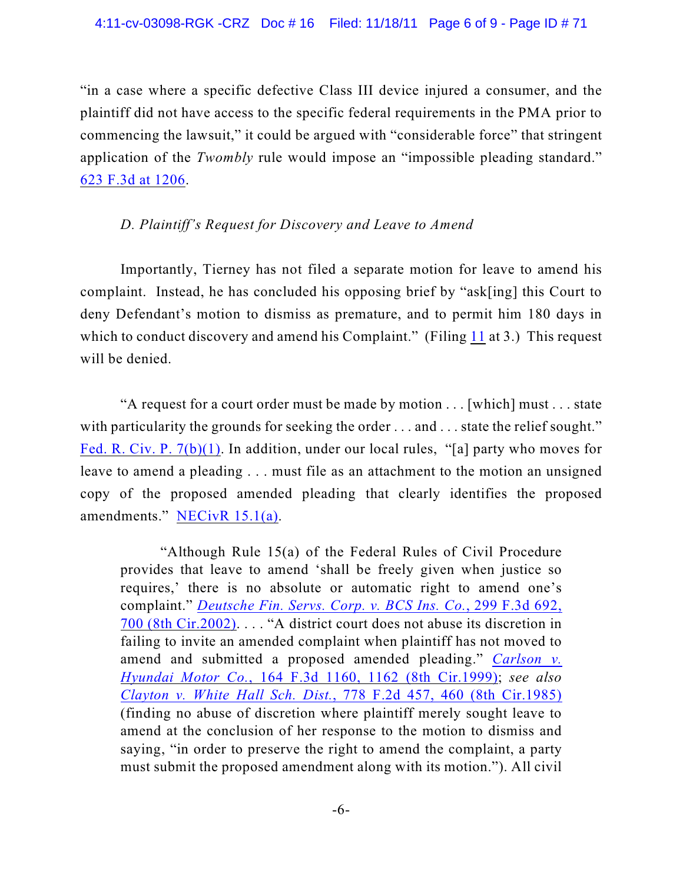"in a case where a specific defective Class III device injured a consumer, and the plaintiff did not have access to the specific federal requirements in the PMA prior to commencing the lawsuit," it could be argued with "considerable force" that stringent application of the *Twombly* rule would impose an "impossible pleading standard." [623 F.3d at 1206](http://web2.westlaw.com/find/default.wl?rs=WLW11.10&rp=%2ffind%2fdefault.wl&vr=2.0&fn=_top&mt=Westlaw&cite=623+F.3d+1206&sv=Split).

#### *D. Plaintiff's Request for Discovery and Leave to Amend*

Importantly, Tierney has not filed a separate motion for leave to amend his complaint. Instead, he has concluded his opposing brief by "ask[ing] this Court to deny Defendant's motion to dismiss as premature, and to permit him 180 days in which to conduct discovery and amend his Complaint." (Filing [11](https://ecf.ned.uscourts.gov/doc1/11312342810) at 3.) This request will be denied.

"A request for a court order must be made by motion . . . [which] must . . . state with particularity the grounds for seeking the order . . . and . . . state the relief sought." [Fed. R. Civ. P. 7\(b\)\(1\)](http://web2.westlaw.com/result/result.aspx?ss=CNT&mt=Westlaw&n=1&cnt=DOC&rlt=CLID_FQRLT839171711131711&scxt=WL&service=Find&fmqv=c&rp=%2fFind%2fdefault.wl&vr=2.0&rlti=1&sv=Split&fn=_top&cite=Fed.+R.+Civ.+P.+7&rs=WLW11.10). In addition, under our local rules, "[a] party who moves for leave to amend a pleading . . . must file as an attachment to the motion an unsigned copy of the proposed amended pleading that clearly identifies the proposed amendments." [NECivR 15.1\(a\)](http://www.ned.uscourts.gov/localrules/rules10/NECivR/15.1.pdf).

"Although Rule 15(a) of the Federal Rules of Civil Procedure provides that leave to amend 'shall be freely given when justice so requires,' there is no absolute or automatic right to amend one's complaint." *[Deutsche Fin. Servs. Corp. v. BCS Ins. Co.](http://web2.westlaw.com/find/default.wl?rs=WLW11.10&rp=%2ffind%2fdefault.wl&vr=2.0&fn=_top&mt=Westlaw&cite=312+F.3d+913&sv=Split)*, 299 F.3d 692, [700 \(8th Cir.2002\)](http://web2.westlaw.com/find/default.wl?rs=WLW11.10&rp=%2ffind%2fdefault.wl&vr=2.0&fn=_top&mt=Westlaw&cite=312+F.3d+913&sv=Split). . . . "A district court does not abuse its discretion in failing to invite an amended complaint when plaintiff has not moved to amend and submitted a proposed amended pleading." *[Carlson v.](http://web2.westlaw.com/find/default.wl?referencepositiontype=S&serialnum=1999031670&referenceposition=1162&rp=%2ffind%2fdefault.wl&sv=Split&rs=WLW11.10&db=506&tf=-1&findtype=Y&fn=_top&mt=Westlaw&vr=2.0&pbc=E37ACFD3&tc=-1&ordoc=2002765131) Hyundai Motor Co.*, [164 F.3d 1160, 1162 \(8th Cir.1999\)](http://web2.westlaw.com/find/default.wl?referencepositiontype=S&serialnum=1999031670&referenceposition=1162&rp=%2ffind%2fdefault.wl&sv=Split&rs=WLW11.10&db=506&tf=-1&findtype=Y&fn=_top&mt=Westlaw&vr=2.0&pbc=E37ACFD3&tc=-1&ordoc=2002765131); *see also Clayton v. White Hall Sch. Dist.*[, 778 F.2d 457, 460 \(8th Cir.1985\)](http://web2.westlaw.com/find/default.wl?referencepositiontype=S&serialnum=1985157965&referenceposition=460&rp=%2ffind%2fdefault.wl&sv=Split&rs=WLW11.10&db=350&tf=-1&findtype=Y&fn=_top&mt=Westlaw&vr=2.0&pbc=E37ACFD3&tc=-1&ordoc=2002765131) (finding no abuse of discretion where plaintiff merely sought leave to amend at the conclusion of her response to the motion to dismiss and saying, "in order to preserve the right to amend the complaint, a party must submit the proposed amendment along with its motion."). All civil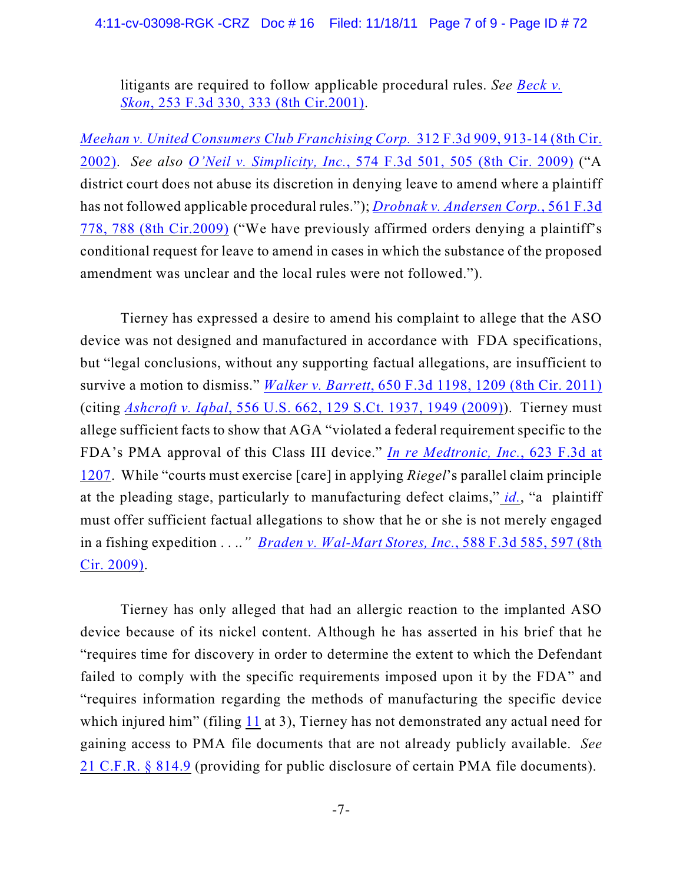#### 4:11-cv-03098-RGK -CRZ Doc # 16 Filed: 11/18/11 Page 7 of 9 - Page ID # 72

litigants are required to follow applicable procedural rules. *See [Beck v.](http://web2.westlaw.com/find/default.wl?referencepositiontype=S&serialnum=2001486992&referenceposition=333&rp=%2ffind%2fdefault.wl&sv=Split&rs=WLW11.10&db=506&tf=-1&findtype=Y&fn=_top&mt=Westlaw&vr=2.0&pbc=E37ACFD3&tc=-1&ordoc=2002765131) Skon*[, 253 F.3d 330, 333 \(8th Cir.2001\)](http://web2.westlaw.com/find/default.wl?referencepositiontype=S&serialnum=2001486992&referenceposition=333&rp=%2ffind%2fdefault.wl&sv=Split&rs=WLW11.10&db=506&tf=-1&findtype=Y&fn=_top&mt=Westlaw&vr=2.0&pbc=E37ACFD3&tc=-1&ordoc=2002765131).

*[Meehan v. United Consumers Club Franchising Corp.](http://web2.westlaw.com/find/default.wl?rs=WLW11.10&rp=%2ffind%2fdefault.wl&vr=2.0&fn=_top&mt=Westlaw&cite=312+F.3d+913&sv=Split)* 312 F.3d 909, 913-14 (8th Cir. [2002\)](http://web2.westlaw.com/find/default.wl?rs=WLW11.10&rp=%2ffind%2fdefault.wl&vr=2.0&fn=_top&mt=Westlaw&cite=312+F.3d+913&sv=Split). *See also O'Neil v. Simplicity, Inc.*[, 574 F.3d 501, 505 \(8th Cir. 2009\)](http://web2.westlaw.com/find/default.wl?rs=WLW11.10&rp=%2ffind%2fdefault.wl&vr=2.0&fn=_top&mt=Westlaw&cite=574+F.3d+501&sv=Split) ("A district court does not abuse its discretion in denying leave to amend where a plaintiff has not followed applicable procedural rules."); *Drobnak v. [Andersen Corp.](http://web2.westlaw.com/find/default.wl?rs=WLW11.10&rp=%2ffind%2fdefault.wl&vr=2.0&fn=_top&mt=Westlaw&cite=561+F.3d+778&sv=Split)*, 561 F.3d [778, 788 \(8th Cir.2009\)](http://web2.westlaw.com/find/default.wl?rs=WLW11.10&rp=%2ffind%2fdefault.wl&vr=2.0&fn=_top&mt=Westlaw&cite=561+F.3d+778&sv=Split) ("We have previously affirmed orders denying a plaintiff's conditional request for leave to amend in cases in which the substance of the proposed amendment was unclear and the local rules were not followed.").

Tierney has expressed a desire to amend his complaint to allege that the ASO device was not designed and manufactured in accordance with FDA specifications, but "legal conclusions, without any supporting factual allegations, are insufficient to survive a motion to dismiss." *Walker v. Barrett*[, 650 F.3d 1198, 1209 \(8th Cir. 2011\)](http://web2.westlaw.com/find/default.wl?rs=WLW11.10&rp=%2ffind%2fdefault.wl&vr=2.0&fn=_top&mt=Westlaw&cite=+650+F.3d+1209+&sv=Split) (citing *Ashcroft v. Iqbal*[, 556 U.S. 662, 129 S.Ct. 1937, 1949 \(2009\)](http://web2.westlaw.com/find/default.wl?referencepositiontype=S&serialnum=2018848474&referenceposition=1949&rp=%2ffind%2fdefault.wl&sv=Split&rs=WLW11.10&db=708&tf=-1&findtype=Y&fn=_top&mt=Westlaw&vr=2.0&pbc=3282DA39&tc=-1&ordoc=2025900236)). Tierney must allege sufficient facts to show that AGA "violated a federal requirement specific to the FDA's PMA approval of this Class III device." *[In re Medtronic, Inc.](http://623%20F.3d%20at%201207.%20)*, 623 F.3d at [1207](http://623%20F.3d%20at%201207.%20). While "courts must exercise [care] in applying *Riegel*'s parallel claim principle at the pleading stage, particularly to manufacturing defect claims," *[id.](http://623%20F.3d%20at%201207.%20)*, "a plaintiff must offer sufficient factual allegations to show that he or she is not merely engaged in a fishing expedition . . ..*" [Braden v. Wal-Mart Stores, Inc.](http://web2.westlaw.com/find/default.wl?rs=WLW11.10&rp=%2ffind%2fdefault.wl&vr=2.0&fn=_top&mt=Westlaw&cite=588+F.3d+597+&sv=Split)*, 588 F.3d 585, 597 (8th [Cir. 2009\)](http://web2.westlaw.com/find/default.wl?rs=WLW11.10&rp=%2ffind%2fdefault.wl&vr=2.0&fn=_top&mt=Westlaw&cite=588+F.3d+597+&sv=Split).

Tierney has only alleged that had an allergic reaction to the implanted ASO device because of its nickel content. Although he has asserted in his brief that he "requires time for discovery in order to determine the extent to which the Defendant failed to comply with the specific requirements imposed upon it by the FDA" and "requires information regarding the methods of manufacturing the specific device which injured him" (filing [11](https://ecf.ned.uscourts.gov/doc1/11312342810) at 3), Tierney has not demonstrated any actual need for gaining access to PMA file documents that are not already publicly available. *See* [21 C.F.R. § 814.9](http://web2.westlaw.com/find/default.wl?rs=WLW11.10&rp=%2ffind%2fdefault.wl&vr=2.0&fn=_top&mt=Westlaw&cite=21+C.F.R.+%c2%a7+814.9&sv=Split) (providing for public disclosure of certain PMA file documents).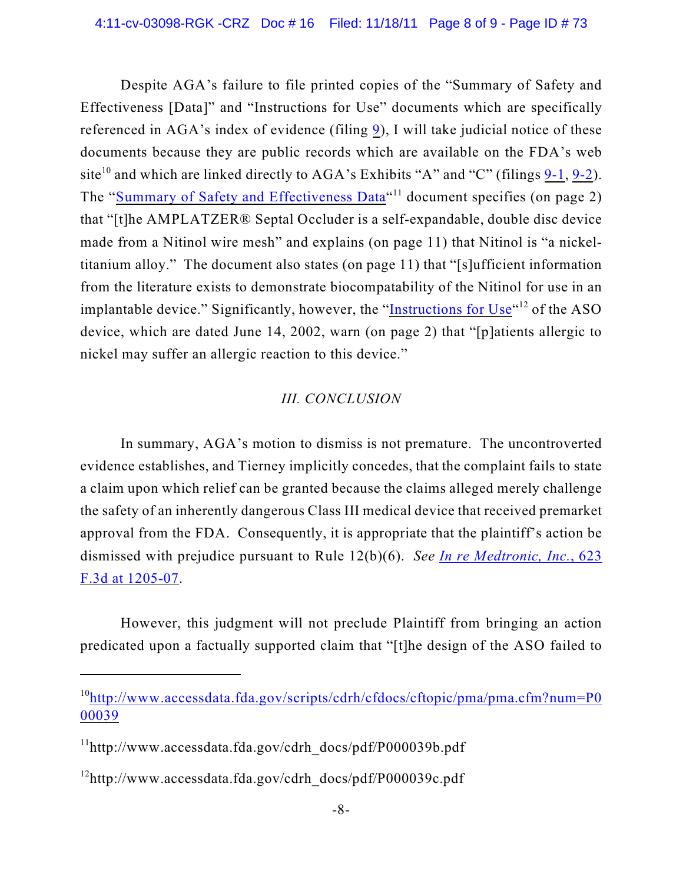Despite AGA's failure to file printed copies of the "Summary of Safety and Effectiveness [Data]" and "Instructions for Use" documents which are specifically referenced in AGA's index of evidence (filing [9](https://ecf.ned.uscourts.gov/doc1/11302325931)), I will take judicial notice of these documents because they are public records which are available on the FDA's web site<sup>10</sup> and which are linked directly to AGA's Exhibits "A" and "C" (filings  $9-1$ ,  $9-2$ ). The ["Summary of Safety and Effectiveness Data](http://www.accessdata.fda.gov/cdrh_docs/pdf/P000039b.pdf)"<sup>11</sup> document specifies (on page 2) that "[t]he AMPLATZER® Septal Occluder is a self-expandable, double disc device made from a Nitinol wire mesh" and explains (on page 11) that Nitinol is "a nickeltitanium alloy." The document also states (on page 11) that "[s]ufficient information from the literature exists to demonstrate biocompatability of the Nitinol for use in an implantable device." Significantly, however, the "Instructions for  $Use <sup>$(42)$</sup>$  of the ASO device, which are dated June 14, 2002, warn (on page 2) that "[p]atients allergic to nickel may suffer an allergic reaction to this device."

# *III. CONCLUSION*

In summary, AGA's motion to dismiss is not premature. The uncontroverted evidence establishes, and Tierney implicitly concedes, that the complaint fails to state a claim upon which relief can be granted because the claims alleged merely challenge the safety of an inherently dangerous Class III medical device that received premarket approval from the FDA. Consequently, it is appropriate that the plaintiff's action be dismissed with prejudice pursuant to Rule 12(b)(6). *See [In re Medtronic, Inc.](http://web2.westlaw.com/find/default.wl?rs=WLW11.10&rp=%2ffind%2fdefault.wl&vr=2.0&fn=_top&mt=Westlaw&cite=623+F.3d+1205&sv=Split)*, 623 [F.3d at 1205-07](http://web2.westlaw.com/find/default.wl?rs=WLW11.10&rp=%2ffind%2fdefault.wl&vr=2.0&fn=_top&mt=Westlaw&cite=623+F.3d+1205&sv=Split).

However, this judgment will not preclude Plaintiff from bringing an action predicated upon a factually supported claim that "[t]he design of the ASO failed to

 $10$ [http://www.accessdata.fda.gov/scripts/cdrh/cfdocs/cftopic/pma/pma.cfm?num=P0](http://www.accessdata.fda.gov/scripts/cdrh/cfdocs/cftopic/pma/pma.cfm?num=P000039) [00039](http://www.accessdata.fda.gov/scripts/cdrh/cfdocs/cftopic/pma/pma.cfm?num=P000039)

 $11$ http://www.accessdata.fda.gov/cdrh\_docs/pdf/P000039b.pdf

 $^{12}$ http://www.accessdata.fda.gov/cdrh\_docs/pdf/P000039c.pdf